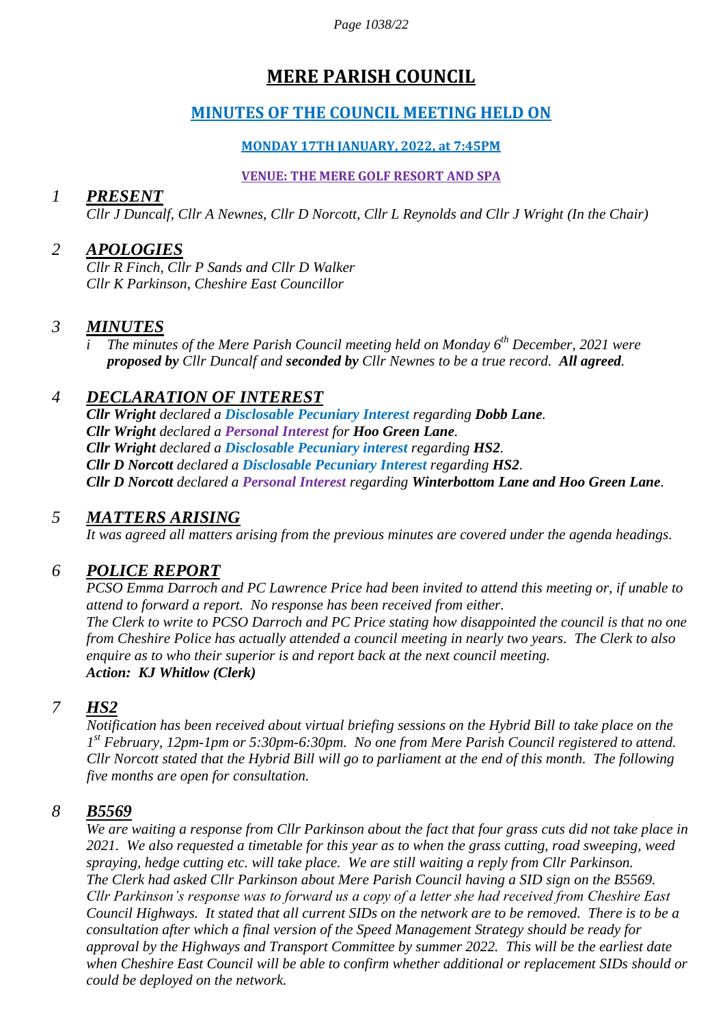*Page 1038/22*

# **MERE PARISH COUNCIL**

## **MINUTES OF THE COUNCIL MEETING HELD ON**

#### **MONDAY 17TH JANUARY, 2022, at 7:45PM**

#### **VENUE: THE MERE GOLF RESORT AND SPA**

### *1 PRESENT*

*Cllr J Duncalf, Cllr A Newnes, Cllr D Norcott, Cllr L Reynolds and Cllr J Wright (In the Chair)*

### *2 APOLOGIES*

*Cllr R Finch, Cllr P Sands and Cllr D Walker Cllr K Parkinson, Cheshire East Councillor*

#### *3 MINUTES*

*i The minutes of the Mere Parish Council meeting held on Monday 6 th December, 2021 were proposed by Cllr Duncalf and seconded by Cllr Newnes to be a true record. All agreed.*

## *4 DECLARATION OF INTEREST*

*Cllr Wright declared a Disclosable Pecuniary Interest regarding Dobb Lane. Cllr Wright declared a Personal Interest for Hoo Green Lane. Cllr Wright declared a Disclosable Pecuniary interest regarding HS2. Cllr D Norcott declared a Disclosable Pecuniary Interest regarding HS2. Cllr D Norcott declared a Personal Interest regarding Winterbottom Lane and Hoo Green Lane.* 

### *5 MATTERS ARISING*

*It was agreed all matters arising from the previous minutes are covered under the agenda headings.*

### *6 POLICE REPORT*

*PCSO Emma Darroch and PC Lawrence Price had been invited to attend this meeting or, if unable to attend to forward a report. No response has been received from either. The Clerk to write to PCSO Darroch and PC Price stating how disappointed the council is that no one from Cheshire Police has actually attended a council meeting in nearly two years. The Clerk to also enquire as to who their superior is and report back at the next council meeting. Action: KJ Whitlow (Clerk)*

### *7 HS2*

*Notification has been received about virtual briefing sessions on the Hybrid Bill to take place on the 1 st February, 12pm-1pm or 5:30pm-6:30pm. No one from Mere Parish Council registered to attend. Cllr Norcott stated that the Hybrid Bill will go to parliament at the end of this month. The following five months are open for consultation.*

#### *8 B5569*

*We are waiting a response from Cllr Parkinson about the fact that four grass cuts did not take place in 2021. We also requested a timetable for this year as to when the grass cutting, road sweeping, weed spraying, hedge cutting etc. will take place. We are still waiting a reply from Cllr Parkinson. The Clerk had asked Cllr Parkinson about Mere Parish Council having a SID sign on the B5569. Cllr Parkinson's response was to forward us a copy of a letter she had received from Cheshire East Council Highways. It stated that all current SIDs on the network are to be removed. There is to be a consultation after which a final version of the Speed Management Strategy should be ready for approval by the Highways and Transport Committee by summer 2022. This will be the earliest date when Cheshire East Council will be able to confirm whether additional or replacement SIDs should or could be deployed on the network.*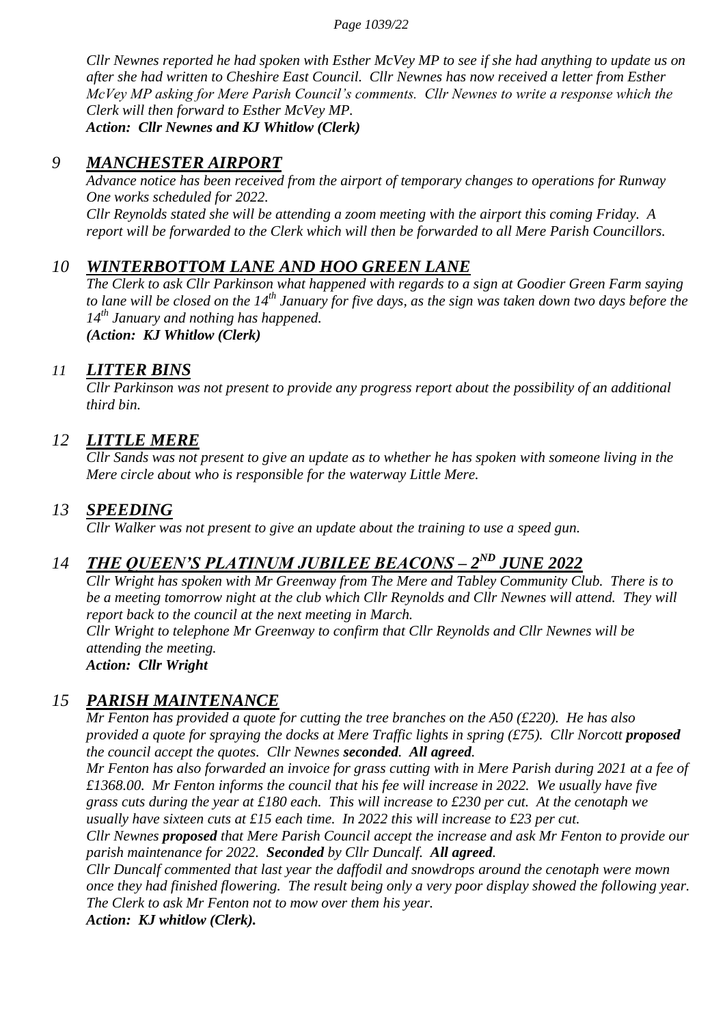#### *Page 1039/22*

*Cllr Newnes reported he had spoken with Esther McVey MP to see if she had anything to update us on after she had written to Cheshire East Council. Cllr Newnes has now received a letter from Esther McVey MP asking for Mere Parish Council's comments. Cllr Newnes to write a response which the Clerk will then forward to Esther McVey MP. Action: Cllr Newnes and KJ Whitlow (Clerk)*

#### *9 MANCHESTER AIRPORT*

*Advance notice has been received from the airport of temporary changes to operations for Runway One works scheduled for 2022. Cllr Reynolds stated she will be attending a zoom meeting with the airport this coming Friday. A report will be forwarded to the Clerk which will then be forwarded to all Mere Parish Councillors.*

### *10 WINTERBOTTOM LANE AND HOO GREEN LANE*

*The Clerk to ask Cllr Parkinson what happened with regards to a sign at Goodier Green Farm saying to lane will be closed on the 14th January for five days, as the sign was taken down two days before the 14th January and nothing has happened.*

*(Action: KJ Whitlow (Clerk)*

#### *11 LITTER BINS*

*Cllr Parkinson was not present to provide any progress report about the possibility of an additional third bin.*

#### *12 LITTLE MERE*

*Cllr Sands was not present to give an update as to whether he has spoken with someone living in the Mere circle about who is responsible for the waterway Little Mere.*

#### *13 SPEEDING*

*Cllr Walker was not present to give an update about the training to use a speed gun.*

## *14 THE QUEEN'S PLATINUM JUBILEE BEACONS – 2<sup>ND</sup> JUNE 2022*

*Cllr Wright has spoken with Mr Greenway from The Mere and Tabley Community Club. There is to be a meeting tomorrow night at the club which Cllr Reynolds and Cllr Newnes will attend. They will report back to the council at the next meeting in March.*

*Cllr Wright to telephone Mr Greenway to confirm that Cllr Reynolds and Cllr Newnes will be attending the meeting.*

*Action: Cllr Wright*

#### *15 PARISH MAINTENANCE*

*Mr Fenton has provided a quote for cutting the tree branches on the A50 (£220). He has also provided a quote for spraying the docks at Mere Traffic lights in spring (£75). Cllr Norcott proposed the council accept the quotes. Cllr Newnes seconded. All agreed.*

*Mr Fenton has also forwarded an invoice for grass cutting with in Mere Parish during 2021 at a fee of £1368.00. Mr Fenton informs the council that his fee will increase in 2022. We usually have five grass cuts during the year at £180 each. This will increase to £230 per cut. At the cenotaph we usually have sixteen cuts at £15 each time. In 2022 this will increase to £23 per cut.*

*Cllr Newnes proposed that Mere Parish Council accept the increase and ask Mr Fenton to provide our parish maintenance for 2022. Seconded by Cllr Duncalf. All agreed.*

*Cllr Duncalf commented that last year the daffodil and snowdrops around the cenotaph were mown once they had finished flowering. The result being only a very poor display showed the following year. The Clerk to ask Mr Fenton not to mow over them his year.*

*Action: KJ whitlow (Clerk).*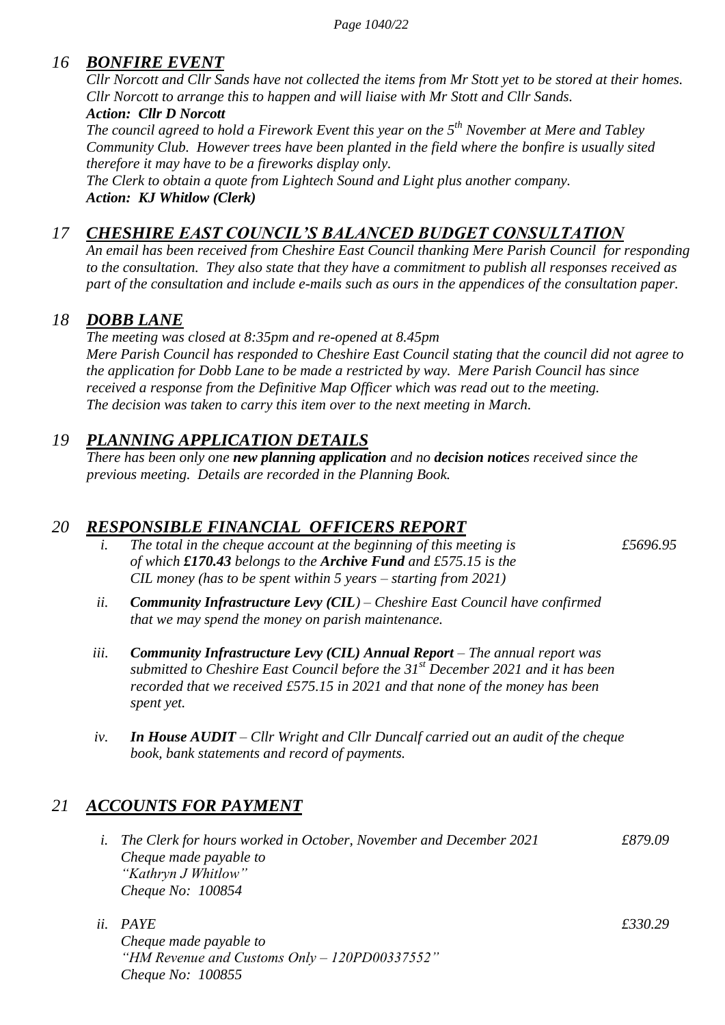### *16 BONFIRE EVENT*

*Cllr Norcott and Cllr Sands have not collected the items from Mr Stott yet to be stored at their homes. Cllr Norcott to arrange this to happen and will liaise with Mr Stott and Cllr Sands. Action: Cllr D Norcott*

*The council agreed to hold a Firework Event this year on the 5th November at Mere and Tabley Community Club. However trees have been planted in the field where the bonfire is usually sited therefore it may have to be a fireworks display only.*

*The Clerk to obtain a quote from Lightech Sound and Light plus another company. Action: KJ Whitlow (Clerk)*

## *17 CHESHIRE EAST COUNCIL'S BALANCED BUDGET CONSULTATION*

*An email has been received from Cheshire East Council thanking Mere Parish Council for responding to the consultation. They also state that they have a commitment to publish all responses received as part of the consultation and include e-mails such as ours in the appendices of the consultation paper.*

### *18 DOBB LANE*

*The meeting was closed at 8:35pm and re-opened at 8.45pm Mere Parish Council has responded to Cheshire East Council stating that the council did not agree to the application for Dobb Lane to be made a restricted by way. Mere Parish Council has since received a response from the Definitive Map Officer which was read out to the meeting. The decision was taken to carry this item over to the next meeting in March.*

## *19 PLANNING APPLICATION DETAILS*

*There has been only one new planning application and no decision notices received since the previous meeting. Details are recorded in the Planning Book.*

### *20 RESPONSIBLE FINANCIAL OFFICERS REPORT*

*i.* The total in the cheque account at the beginning of this meeting is  $£5696.95$ *of which £170.43 belongs to the Archive Fund and £575.15 is the CIL money (has to be spent within 5 years – starting from 2021)*

- *ii. Community Infrastructure Levy (CIL) – Cheshire East Council have confirmed that we may spend the money on parish maintenance.*
- *iii. Community Infrastructure Levy (CIL) Annual Report – The annual report was submitted to Cheshire East Council before the 31st December 2021 and it has been recorded that we received £575.15 in 2021 and that none of the money has been spent yet.*
- *iv. In House AUDIT – Cllr Wright and Cllr Duncalf carried out an audit of the cheque book, bank statements and record of payments.*

## *21 ACCOUNTS FOR PAYMENT*

- *i. The Clerk for hours worked in October, November and December 2021 £879.09 Cheque made payable to "Kathryn J Whitlow" Cheque No: 100854*
- *ii. PAYE £330.29 Cheque made payable to "HM Revenue and Customs Only – 120PD00337552" Cheque No: 100855*